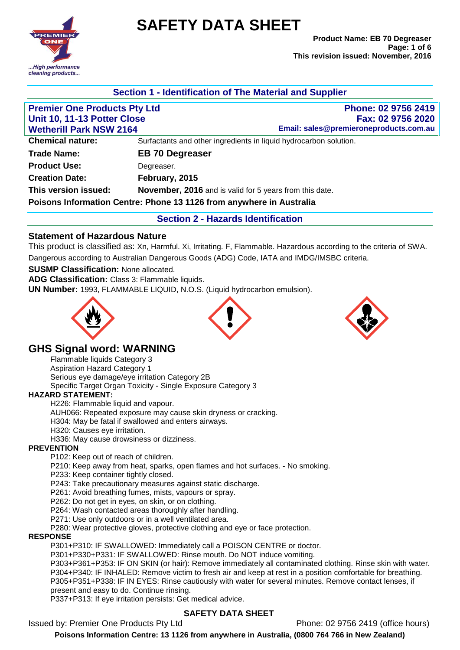**EMIE** .High performance cleaning products...

# **SAFETY DATA SHEET**

## **Section 1 - Identification of The Material and Supplier**

| <b>Premier One Products Pty Ltd</b> | Phone: 02 9756 2419                                                  |
|-------------------------------------|----------------------------------------------------------------------|
| Unit 10, 11-13 Potter Close         | Fax: 02 9756 2020                                                    |
| <b>Wetherill Park NSW 2164</b>      | Email: sales@premieroneproducts.com.au                               |
| <b>Chemical nature:</b>             | Surfactants and other ingredients in liquid hydrocarbon solution.    |
| <b>Trade Name:</b>                  | <b>EB 70 Degreaser</b>                                               |
| <b>Product Use:</b>                 | Degreaser.                                                           |
| <b>Creation Date:</b>               | February, 2015                                                       |
| This version issued:                | <b>November, 2016</b> and is valid for 5 years from this date.       |
|                                     | Poisons Information Centre: Phone 13 1126 from anywhere in Australia |
|                                     | <b>Section 2 - Hazards Identification</b>                            |

## **Statement of Hazardous Nature**

This product is classified as: Xn, Harmful. Xi, Irritating. F, Flammable. Hazardous according to the criteria of SWA. Dangerous according to Australian Dangerous Goods (ADG) Code, IATA and IMDG/IMSBC criteria.

#### **SUSMP Classification:** None allocated.

**ADG Classification:** Class 3: Flammable liquids.

**UN Number:** 1993, FLAMMABLE LIQUID, N.O.S. (Liquid hydrocarbon emulsion).







## **GHS Signal word: WARNING**

Flammable liquids Category 3 Aspiration Hazard Category 1 Serious eye damage/eye irritation Category 2B Specific Target Organ Toxicity - Single Exposure Category 3

#### **HAZARD STATEMENT:**

H226: Flammable liquid and vapour.

AUH066: Repeated exposure may cause skin dryness or cracking.

H304: May be fatal if swallowed and enters airways.

H320: Causes eye irritation.

H336: May cause drowsiness or dizziness.

#### **PREVENTION**

P102: Keep out of reach of children.

P210: Keep away from heat, sparks, open flames and hot surfaces. - No smoking.

P233: Keep container tightly closed.

P243: Take precautionary measures against static discharge.

P261: Avoid breathing fumes, mists, vapours or spray.

P262: Do not get in eyes, on skin, or on clothing.

P264: Wash contacted areas thoroughly after handling.

P271: Use only outdoors or in a well ventilated area.

P280: Wear protective gloves, protective clothing and eye or face protection.

#### **RESPONSE**

P301+P310: IF SWALLOWED: Immediately call a POISON CENTRE or doctor.

P301+P330+P331: IF SWALLOWED: Rinse mouth. Do NOT induce vomiting.

P303+P361+P353: IF ON SKIN (or hair): Remove immediately all contaminated clothing. Rinse skin with water. P304+P340: IF INHALED: Remove victim to fresh air and keep at rest in a position comfortable for breathing. P305+P351+P338: IF IN EYES: Rinse cautiously with water for several minutes. Remove contact lenses, if present and easy to do. Continue rinsing.

P337+P313: If eye irritation persists: Get medical advice.

## **SAFETY DATA SHEET**

Issued by: Premier One Products Pty Ltd Phone: 02 9756 2419 (office hours)

**Poisons Information Centre: 13 1126 from anywhere in Australia, (0800 764 766 in New Zealand)**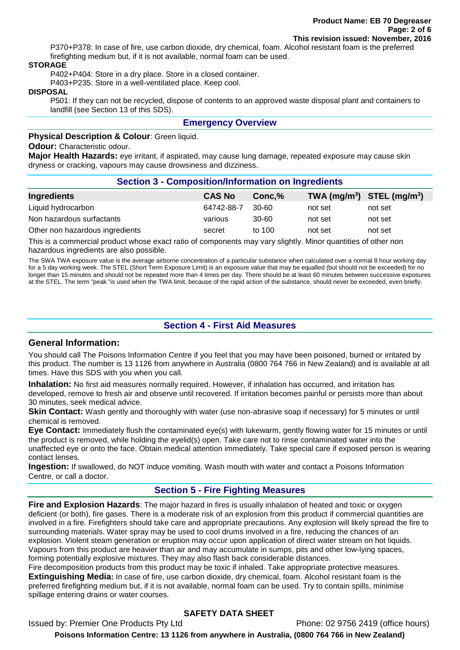P370+P378: In case of fire, use carbon dioxide, dry chemical, foam. Alcohol resistant foam is the preferred firefighting medium but, if it is not available, normal foam can be used.

#### **STORAGE**

P402+P404: Store in a dry place. Store in a closed container.

P403+P235: Store in a well-ventilated place. Keep cool.

#### **DISPOSAL**

P501: If they can not be recycled, dispose of contents to an approved waste disposal plant and containers to landfill (see Section 13 of this SDS).

#### **Emergency Overview**

**Physical Description & Colour**: Green liquid.

#### **Odour:** Characteristic odour.

**Major Health Hazards:** eye irritant, if aspirated, may cause lung damage, repeated exposure may cause skin dryness or cracking, vapours may cause drowsiness and dizziness.

| <b>Section 3 - Composition/Information on Ingredients</b> |               |           |                                |         |
|-----------------------------------------------------------|---------------|-----------|--------------------------------|---------|
| Ingredients                                               | <b>CAS No</b> | Conc,%    | TWA $(mg/m^3)$ STEL $(mg/m^3)$ |         |
| Liquid hydrocarbon                                        | 64742-88-7    | $30 - 60$ | not set                        | not set |
| Non hazardous surfactants                                 | various       | $30 - 60$ | not set                        | not set |
| Other non hazardous ingredients                           | secret        | to 100    | not set                        | not set |

This is a commercial product whose exact ratio of components may vary slightly. Minor quantities of other non hazardous ingredients are also possible.

The SWA TWA exposure value is the average airborne concentration of a particular substance when calculated over a normal 8 hour working day for a 5 day working week. The STEL (Short Term Exposure Limit) is an exposure value that may be equalled (but should not be exceeded) for no longer than 15 minutes and should not be repeated more than 4 times per day. There should be at least 60 minutes between successive exposures at the STEL. The term "peak "is used when the TWA limit, because of the rapid action of the substance, should never be exceeded, even briefly.

## **Section 4 - First Aid Measures**

#### **General Information:**

You should call The Poisons Information Centre if you feel that you may have been poisoned, burned or irritated by this product. The number is 13 1126 from anywhere in Australia (0800 764 766 in New Zealand) and is available at all times. Have this SDS with you when you call.

**Inhalation:** No first aid measures normally required. However, if inhalation has occurred, and irritation has developed, remove to fresh air and observe until recovered. If irritation becomes painful or persists more than about 30 minutes, seek medical advice.

**Skin Contact:** Wash gently and thoroughly with water (use non-abrasive soap if necessary) for 5 minutes or until chemical is removed.

**Eye Contact:** Immediately flush the contaminated eye(s) with lukewarm, gently flowing water for 15 minutes or until the product is removed, while holding the eyelid(s) open. Take care not to rinse contaminated water into the unaffected eye or onto the face. Obtain medical attention immediately. Take special care if exposed person is wearing contact lenses.

**Ingestion:** If swallowed, do NOT induce vomiting. Wash mouth with water and contact a Poisons Information Centre, or call a doctor.

## **Section 5 - Fire Fighting Measures**

**Fire and Explosion Hazards**: The major hazard in fires is usually inhalation of heated and toxic or oxygen deficient (or both), fire gases. There is a moderate risk of an explosion from this product if commercial quantities are involved in a fire. Firefighters should take care and appropriate precautions. Any explosion will likely spread the fire to surrounding materials. Water spray may be used to cool drums involved in a fire, reducing the chances of an explosion. Violent steam generation or eruption may occur upon application of direct water stream on hot liquids. Vapours from this product are heavier than air and may accumulate in sumps, pits and other low-lying spaces, forming potentially explosive mixtures. They may also flash back considerable distances.

Fire decomposition products from this product may be toxic if inhaled. Take appropriate protective measures. **Extinguishing Media:** In case of fire, use carbon dioxide, dry chemical, foam. Alcohol resistant foam is the preferred firefighting medium but, if it is not available, normal foam can be used. Try to contain spills, minimise spillage entering drains or water courses.

## **SAFETY DATA SHEET**

Issued by: Premier One Products Pty Ltd Phone: 02 9756 2419 (office hours) **Poisons Information Centre: 13 1126 from anywhere in Australia, (0800 764 766 in New Zealand)**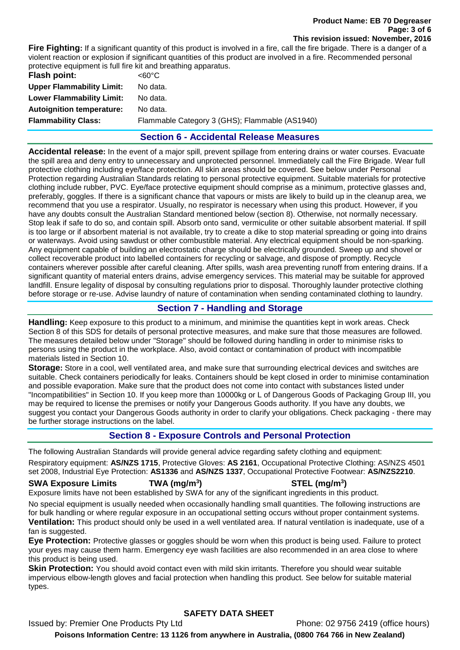**Fire Fighting:** If a significant quantity of this product is involved in a fire, call the fire brigade. There is a danger of a violent reaction or explosion if significant quantities of this product are involved in a fire. Recommended personal protective equipment is full fire kit and breathing apparatus.

| Flash point:                     | <60°C                                          |
|----------------------------------|------------------------------------------------|
| <b>Upper Flammability Limit:</b> | No data.                                       |
| <b>Lower Flammability Limit:</b> | No data.                                       |
| <b>Autoignition temperature:</b> | No data.                                       |
| <b>Flammability Class:</b>       | Flammable Category 3 (GHS); Flammable (AS1940) |
|                                  |                                                |

## **Section 6 - Accidental Release Measures**

**Accidental release:** In the event of a major spill, prevent spillage from entering drains or water courses. Evacuate the spill area and deny entry to unnecessary and unprotected personnel. Immediately call the Fire Brigade. Wear full protective clothing including eye/face protection. All skin areas should be covered. See below under Personal Protection regarding Australian Standards relating to personal protective equipment. Suitable materials for protective clothing include rubber, PVC. Eye/face protective equipment should comprise as a minimum, protective glasses and, preferably, goggles. If there is a significant chance that vapours or mists are likely to build up in the cleanup area, we recommend that you use a respirator. Usually, no respirator is necessary when using this product. However, if you have any doubts consult the Australian Standard mentioned below (section 8). Otherwise, not normally necessary. Stop leak if safe to do so, and contain spill. Absorb onto sand, vermiculite or other suitable absorbent material. If spill is too large or if absorbent material is not available, try to create a dike to stop material spreading or going into drains or waterways. Avoid using sawdust or other combustible material. Any electrical equipment should be non-sparking. Any equipment capable of building an electrostatic charge should be electrically grounded. Sweep up and shovel or collect recoverable product into labelled containers for recycling or salvage, and dispose of promptly. Recycle containers wherever possible after careful cleaning. After spills, wash area preventing runoff from entering drains. If a significant quantity of material enters drains, advise emergency services. This material may be suitable for approved landfill. Ensure legality of disposal by consulting regulations prior to disposal. Thoroughly launder protective clothing before storage or re-use. Advise laundry of nature of contamination when sending contaminated clothing to laundry.

## **Section 7 - Handling and Storage**

**Handling:** Keep exposure to this product to a minimum, and minimise the quantities kept in work areas. Check Section 8 of this SDS for details of personal protective measures, and make sure that those measures are followed. The measures detailed below under "Storage" should be followed during handling in order to minimise risks to persons using the product in the workplace. Also, avoid contact or contamination of product with incompatible materials listed in Section 10.

**Storage:** Store in a cool, well ventilated area, and make sure that surrounding electrical devices and switches are suitable. Check containers periodically for leaks. Containers should be kept closed in order to minimise contamination and possible evaporation. Make sure that the product does not come into contact with substances listed under "Incompatibilities" in Section 10. If you keep more than 10000kg or L of Dangerous Goods of Packaging Group III, you may be required to license the premises or notify your Dangerous Goods authority. If you have any doubts, we suggest you contact your Dangerous Goods authority in order to clarify your obligations. Check packaging - there may be further storage instructions on the label.

## **Section 8 - Exposure Controls and Personal Protection**

The following Australian Standards will provide general advice regarding safety clothing and equipment:

Respiratory equipment: **AS/NZS 1715**, Protective Gloves: **AS 2161**, Occupational Protective Clothing: AS/NZS 4501 set 2008, Industrial Eye Protection: **AS1336** and **AS/NZS 1337**, Occupational Protective Footwear: **AS/NZS2210**.

## **SWA Exposure Limits TWA (mg/m<sup>3</sup>**

**) STEL (mg/m<sup>3</sup> )**

Exposure limits have not been established by SWA for any of the significant ingredients in this product.

No special equipment is usually needed when occasionally handling small quantities. The following instructions are for bulk handling or where regular exposure in an occupational setting occurs without proper containment systems. **Ventilation:** This product should only be used in a well ventilated area. If natural ventilation is inadequate, use of a fan is suggested.

**Eye Protection:** Protective glasses or goggles should be worn when this product is being used. Failure to protect your eyes may cause them harm. Emergency eye wash facilities are also recommended in an area close to where this product is being used.

**Skin Protection:** You should avoid contact even with mild skin irritants. Therefore you should wear suitable impervious elbow-length gloves and facial protection when handling this product. See below for suitable material types.

## **SAFETY DATA SHEET**

Issued by: Premier One Products Pty Ltd Phone: 02 9756 2419 (office hours) **Poisons Information Centre: 13 1126 from anywhere in Australia, (0800 764 766 in New Zealand)**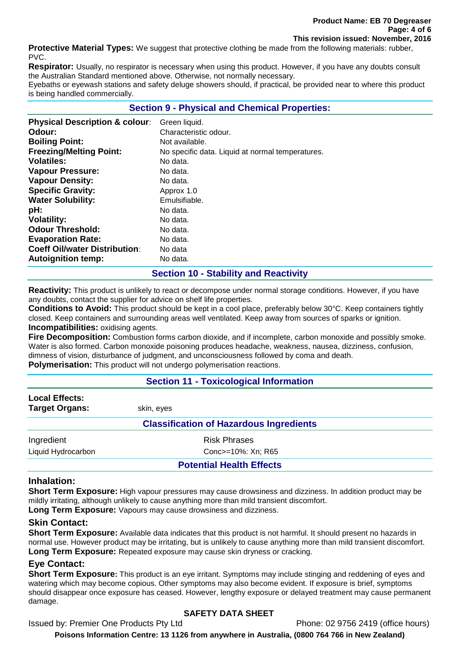**Protective Material Types:** We suggest that protective clothing be made from the following materials: rubber, PVC.

**Respirator:** Usually, no respirator is necessary when using this product. However, if you have any doubts consult the Australian Standard mentioned above. Otherwise, not normally necessary.

Eyebaths or eyewash stations and safety deluge showers should, if practical, be provided near to where this product is being handled commercially.

## **Section 9 - Physical and Chemical Properties:**

| <b>Physical Description &amp; colour:</b> | Green liquid.                                    |
|-------------------------------------------|--------------------------------------------------|
| Odour:                                    | Characteristic odour.                            |
| <b>Boiling Point:</b>                     | Not available.                                   |
| <b>Freezing/Melting Point:</b>            | No specific data. Liquid at normal temperatures. |
| <b>Volatiles:</b>                         | No data.                                         |
| <b>Vapour Pressure:</b>                   | No data.                                         |
| <b>Vapour Density:</b>                    | No data.                                         |
| <b>Specific Gravity:</b>                  | Approx 1.0                                       |
| <b>Water Solubility:</b>                  | Emulsifiable.                                    |
| pH:                                       | No data.                                         |
| <b>Volatility:</b>                        | No data.                                         |
| <b>Odour Threshold:</b>                   | No data.                                         |
| <b>Evaporation Rate:</b>                  | No data.                                         |
| <b>Coeff Oil/water Distribution:</b>      | No data                                          |
| <b>Autoignition temp:</b>                 | No data.                                         |

## **Section 10 - Stability and Reactivity**

**Reactivity:** This product is unlikely to react or decompose under normal storage conditions. However, if you have any doubts, contact the supplier for advice on shelf life properties.

**Conditions to Avoid:** This product should be kept in a cool place, preferably below 30°C. Keep containers tightly closed. Keep containers and surrounding areas well ventilated. Keep away from sources of sparks or ignition. **Incompatibilities:** oxidising agents.

**Fire Decomposition:** Combustion forms carbon dioxide, and if incomplete, carbon monoxide and possibly smoke. Water is also formed. Carbon monoxide poisoning produces headache, weakness, nausea, dizziness, confusion, dimness of vision, disturbance of judgment, and unconsciousness followed by coma and death.

**Polymerisation:** This product will not undergo polymerisation reactions.

## **Section 11 - Toxicological Information**

| <b>Local Effects:</b><br><b>Target Organs:</b> | skin, eves |                                 |
|------------------------------------------------|------------|---------------------------------|
| <b>Classification of Hazardous Ingredients</b> |            |                                 |
| Ingredient                                     |            | <b>Risk Phrases</b>             |
| Liquid Hydrocarbon                             |            | Conc>=10%: Xn; R65              |
|                                                |            | <b>Potential Health Effects</b> |

## **Inhalation:**

**Short Term Exposure:** High vapour pressures may cause drowsiness and dizziness. In addition product may be mildly irritating, although unlikely to cause anything more than mild transient discomfort. **Long Term Exposure:** Vapours may cause drowsiness and dizziness.

## **Skin Contact:**

**Short Term Exposure:** Available data indicates that this product is not harmful. It should present no hazards in normal use. However product may be irritating, but is unlikely to cause anything more than mild transient discomfort. **Long Term Exposure:** Repeated exposure may cause skin dryness or cracking.

## **Eye Contact:**

**Short Term Exposure:** This product is an eye irritant. Symptoms may include stinging and reddening of eyes and watering which may become copious. Other symptoms may also become evident. If exposure is brief, symptoms should disappear once exposure has ceased. However, lengthy exposure or delayed treatment may cause permanent damage.

## **SAFETY DATA SHEET**

Issued by: Premier One Products Pty Ltd Phone: 02 9756 2419 (office hours)

**Poisons Information Centre: 13 1126 from anywhere in Australia, (0800 764 766 in New Zealand)**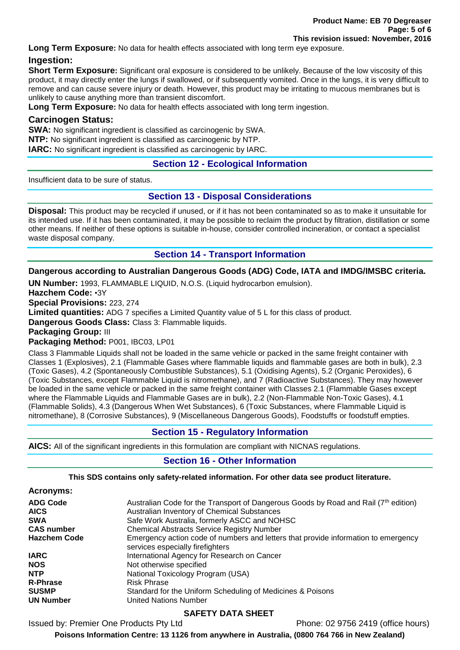**Long Term Exposure:** No data for health effects associated with long term eye exposure.

## **Ingestion:**

**Short Term Exposure:** Significant oral exposure is considered to be unlikely. Because of the low viscosity of this product, it may directly enter the lungs if swallowed, or if subsequently vomited. Once in the lungs, it is very difficult to remove and can cause severe injury or death. However, this product may be irritating to mucous membranes but is unlikely to cause anything more than transient discomfort.

**Long Term Exposure:** No data for health effects associated with long term ingestion.

## **Carcinogen Status:**

**SWA:** No significant ingredient is classified as carcinogenic by SWA.

**NTP:** No significant ingredient is classified as carcinogenic by NTP.

**IARC:** No significant ingredient is classified as carcinogenic by IARC.

## **Section 12 - Ecological Information**

Insufficient data to be sure of status.

## **Section 13 - Disposal Considerations**

**Disposal:** This product may be recycled if unused, or if it has not been contaminated so as to make it unsuitable for its intended use. If it has been contaminated, it may be possible to reclaim the product by filtration, distillation or some other means. If neither of these options is suitable in-house, consider controlled incineration, or contact a specialist waste disposal company.

## **Section 14 - Transport Information**

**Dangerous according to Australian Dangerous Goods (ADG) Code, IATA and IMDG/IMSBC criteria.** 

**UN Number:** 1993, FLAMMABLE LIQUID, N.O.S. (Liquid hydrocarbon emulsion).

**Hazchem Code:** •3Y

**Special Provisions:** 223, 274

**Limited quantities:** ADG 7 specifies a Limited Quantity value of 5 L for this class of product.

**Dangerous Goods Class:** Class 3: Flammable liquids.

**Packaging Group:** III

**Packaging Method:** P001, IBC03, LP01

Class 3 Flammable Liquids shall not be loaded in the same vehicle or packed in the same freight container with Classes 1 (Explosives), 2.1 (Flammable Gases where flammable liquids and flammable gases are both in bulk), 2.3 (Toxic Gases), 4.2 (Spontaneously Combustible Substances), 5.1 (Oxidising Agents), 5.2 (Organic Peroxides), 6 (Toxic Substances, except Flammable Liquid is nitromethane), and 7 (Radioactive Substances). They may however be loaded in the same vehicle or packed in the same freight container with Classes 2.1 (Flammable Gases except where the Flammable Liquids and Flammable Gases are in bulk), 2.2 (Non-Flammable Non-Toxic Gases), 4.1 (Flammable Solids), 4.3 (Dangerous When Wet Substances), 6 (Toxic Substances, where Flammable Liquid is nitromethane), 8 (Corrosive Substances), 9 (Miscellaneous Dangerous Goods), Foodstuffs or foodstuff empties.

## **Section 15 - Regulatory Information**

**AICS:** All of the significant ingredients in this formulation are compliant with NICNAS regulations.

## **Section 16 - Other Information**

## **This SDS contains only safety-related information. For other data see product literature.**

| Acronyms: |  |
|-----------|--|
| ADG Code  |  |

| <b>ADG Code</b>     | Australian Code for the Transport of Dangerous Goods by Road and Rail (7 <sup>th</sup> edition)                         |
|---------------------|-------------------------------------------------------------------------------------------------------------------------|
| <b>AICS</b>         | Australian Inventory of Chemical Substances                                                                             |
| <b>SWA</b>          | Safe Work Australia, formerly ASCC and NOHSC                                                                            |
| <b>CAS number</b>   | <b>Chemical Abstracts Service Registry Number</b>                                                                       |
| <b>Hazchem Code</b> | Emergency action code of numbers and letters that provide information to emergency<br>services especially fire fighters |
| <b>IARC</b>         | International Agency for Research on Cancer                                                                             |
| <b>NOS</b>          | Not otherwise specified                                                                                                 |
| <b>NTP</b>          | National Toxicology Program (USA)                                                                                       |
| <b>R-Phrase</b>     | <b>Risk Phrase</b>                                                                                                      |
| <b>SUSMP</b>        | Standard for the Uniform Scheduling of Medicines & Poisons                                                              |
| <b>UN Number</b>    | <b>United Nations Number</b>                                                                                            |

## **SAFETY DATA SHEET**

Issued by: Premier One Products Pty Ltd Phone: 02 9756 2419 (office hours)

**Poisons Information Centre: 13 1126 from anywhere in Australia, (0800 764 766 in New Zealand)**